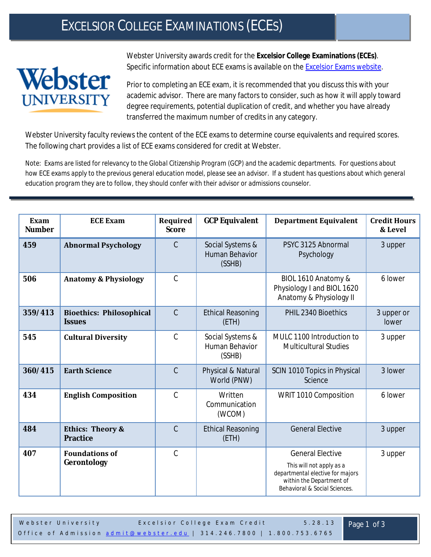## EXCELSIOR COLLEGE EXAMINATIONS (ECES)



Webster University awards credit for the **Excelsior College Examinations (ECEs)**. Specific information about ECE exams is available on the [Excelsior Exams website.](http://www.excelsior.edu/ecapps/exams/creditByExam.jsf?gw=1)

Prior to completing an ECE exam, it is recommended that you discuss this with your academic advisor. There are many factors to consider, such as how it will apply toward degree requirements, potential duplication of credit, and whether you have already transferred the maximum number of credits in any category.

Webster University faculty reviews the content of the ECE exams to determine course equivalents and required scores. The following chart provides a list of ECE exams considered for credit at Webster.

*Note: Exams are listed for relevancy to the Global Citizenship Program (GCP) and the academic departments. For questions about how ECE exams apply to the previous general education model, please see an advisor. If a student has questions about which general education program they are to follow, they should confer with their advisor or admissions counselor.*

| Exam<br><b>Number</b> | <b>ECE Exam</b>                                  | Required<br><b>Score</b> | <b>GCP Equivalent</b>                        | <b>Department Equivalent</b>                                                                                                                         | <b>Credit Hours</b><br>& Level |
|-----------------------|--------------------------------------------------|--------------------------|----------------------------------------------|------------------------------------------------------------------------------------------------------------------------------------------------------|--------------------------------|
| 459                   | <b>Abnormal Psychology</b>                       | $\mathcal{C}$            | Social Systems &<br>Human Behavior<br>(SSHB) | PSYC 3125 Abnormal<br>Psychology                                                                                                                     | 3 upper                        |
| 506                   | <b>Anatomy &amp; Physiology</b>                  | $\mathcal{C}$            |                                              | BIOL 1610 Anatomy &<br>Physiology I and BIOL 1620<br>Anatomy & Physiology II                                                                         | 6 lower                        |
| 359/413               | <b>Bioethics: Philosophical</b><br><b>Issues</b> | $\mathcal{C}$            | <b>Ethical Reasoning</b><br>(ETH)            | PHIL 2340 Bioethics                                                                                                                                  | 3 upper or<br>lower            |
| 545                   | <b>Cultural Diversity</b>                        | $\mathcal{C}$            | Social Systems &<br>Human Behavior<br>(SSHB) | MULC 1100 Introduction to<br><b>Multicultural Studies</b>                                                                                            | 3 upper                        |
| 360/415               | <b>Earth Science</b>                             | $\mathcal{C}$            | Physical & Natural<br>World (PNW)            | SCIN 1010 Topics in Physical<br>Science                                                                                                              | 3 lower                        |
| 434                   | <b>English Composition</b>                       | $\mathcal{C}$            | Written<br>Communication<br>(WCOM)           | WRIT 1010 Composition                                                                                                                                | 6 lower                        |
| 484                   | <b>Ethics: Theory &amp;</b><br><b>Practice</b>   | $\mathcal{C}$            | <b>Ethical Reasoning</b><br>(ETH)            | <b>General Elective</b>                                                                                                                              | 3 upper                        |
| 407                   | <b>Foundations of</b><br>Gerontology             | $\mathcal{C}$            |                                              | <b>General Elective</b><br>This will not apply as a<br>departmental elective for majors<br>within the Department of<br>Behavioral & Social Sciences. | 3 upper                        |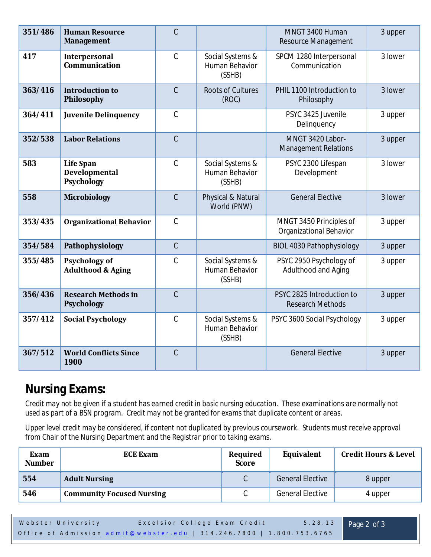| 351/486 | <b>Human Resource</b><br><b>Management</b>             | C              |                                              | MNGT 3400 Human<br>Resource Management                    | 3 upper |
|---------|--------------------------------------------------------|----------------|----------------------------------------------|-----------------------------------------------------------|---------|
| 417     | <b>Interpersonal</b><br><b>Communication</b>           | $\mathcal{C}$  | Social Systems &<br>Human Behavior<br>(SSHB) | SPCM 1280 Interpersonal<br>Communication                  | 3 lower |
| 363/416 | <b>Introduction to</b><br>Philosophy                   | $\overline{C}$ | <b>Roots of Cultures</b><br>(ROC)            | PHIL 1100 Introduction to<br>Philosophy                   | 3 lower |
| 364/411 | <b>Juvenile Delinquency</b>                            | $\mathcal{C}$  |                                              | PSYC 3425 Juvenile<br>Delinquency                         | 3 upper |
| 352/538 | <b>Labor Relations</b>                                 | $\mathsf C$    |                                              | MNGT 3420 Labor-<br><b>Management Relations</b>           | 3 upper |
| 583     | <b>Life Span</b><br>Developmental<br><b>Psychology</b> | $\mathcal{C}$  | Social Systems &<br>Human Behavior<br>(SSHB) | PSYC 2300 Lifespan<br>Development                         | 3 lower |
| 558     | <b>Microbiology</b>                                    | $\mathcal{C}$  | Physical & Natural<br>World (PNW)            | <b>General Elective</b>                                   | 3 lower |
| 353/435 | <b>Organizational Behavior</b>                         | $\mathcal{C}$  |                                              | MNGT 3450 Principles of<br><b>Organizational Behavior</b> | 3 upper |
| 354/584 | Pathophysiology                                        | $\overline{C}$ |                                              | <b>BIOL 4030 Pathophysiology</b>                          | 3 upper |
| 355/485 | <b>Psychology of</b><br><b>Adulthood &amp; Aging</b>   | C              | Social Systems &<br>Human Behavior<br>(SSHB) | PSYC 2950 Psychology of<br>Adulthood and Aging            | 3 upper |
| 356/436 | <b>Research Methods in</b><br><b>Psychology</b>        | $\overline{C}$ |                                              | PSYC 2825 Introduction to<br><b>Research Methods</b>      | 3 upper |
| 357/412 | <b>Social Psychology</b>                               | $\mathcal{C}$  | Social Systems &<br>Human Behavior<br>(SSHB) | PSYC 3600 Social Psychology                               | 3 upper |
| 367/512 | <b>World Conflicts Since</b><br>1900                   | $\overline{C}$ |                                              | <b>General Elective</b>                                   | 3 upper |

## **Nursing Exams:**

*Credit may not be given if a student has earned credit in basic nursing education. These examinations are normally not used as part of a BSN program. Credit may not be granted for exams that duplicate content or areas.*

*Upper level credit may be considered, if content not duplicated by previous coursework. Students must receive approval from Chair of the Nursing Department and the Registrar prior to taking exams.* 

| Exam<br><b>Number</b> | <b>ECE Exam</b>                  | Required<br><b>Score</b> | <b>Equivalent</b>       | <b>Credit Hours &amp; Level</b> |
|-----------------------|----------------------------------|--------------------------|-------------------------|---------------------------------|
| 554                   | <b>Adult Nursing</b>             |                          | <b>General Elective</b> | 8 upper                         |
| 546                   | <b>Community Focused Nursing</b> | ◡                        | <b>General Elective</b> | 4 upper                         |

| Webster University | Excelsior College Exam Credit                                         | $5.28.13$ Page 2 of 3 |
|--------------------|-----------------------------------------------------------------------|-----------------------|
|                    | Office of Admission admit@webster.edu   314.246.7800   1.800.753.6765 |                       |